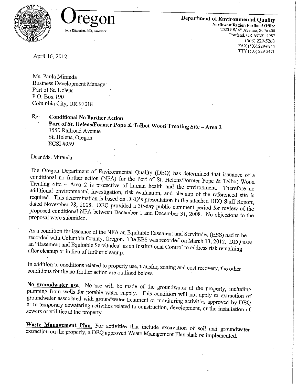## Department of Environmental Quality



Northwest Region Portland Office  $2020$  SW  $\overline{4}$ <sup>th</sup> Avenue, Suite 400 Portland, OR 97201-4987 (503) 229-5263 FAX (503), 229-6945 TTY (503) 229-5471

Ms. Paula Miranda **Business Development Manager** Port of St. Helens P.O. Box  $190$ Columbia City, OR 97018 Columbia City, OR 97018

Re: Port of St Helens/Formon Done  $550$  Railroad Avenue St. Helens, Oregon ECSI #959

Dear Ms. Miranda:

The Oregon Department of Environmental Quality (DEQ) has determined that issuance of a conditional no further action (NFA) for the Port of St. Helens/Former Pope & Talbot Wood Treating Site  $-$  Area 2 is protective of human health and the environment. Therefore no additional environmental investigation, risk evaluation, and cleanup of the referenced site is required. This determination is based on DEQ's presentation in the attached DEQ Staff Report, dated November 28, 2008. DEQ provided a 30-day public comment period for review of the  $\alpha$  date of  $\alpha$  and  $\alpha$  is  $\alpha$  and  $\alpha$  and  $\alpha$  and  $\alpha$  are  $\alpha$  and  $\alpha$  are  $\alpha$  and  $\alpha$  is  $\alpha$  and  $\alpha$  is  $\alpha$  and  $\alpha$  is  $\alpha$  is  $\alpha$  is  $\alpha$  is  $\alpha$  is  $\alpha$  is  $\alpha$  is  $\alpha$  is  $\alpha$  is  $\alpha$  is  $\alpha$  is  $\alpha$  i proposed were submitted

As a condition for issuance of the NFA an Equitable Easement and Servitudes (EES) had to be recorded with Columbia County, Oregon. The EES was recorded on March 13, 2012. DEQ uses  $r_{\text{Easement and Fautiable Serrithed 88}^{\text{current}}$  Columbia Columbia County, Original County, Original County, Original County, Original County, Original County, Original County, Original County, Original County, Original County, Original Coun an "Easement and Equitable Servitudes" as an Institutional Control to address risk remaining after cleanup or in lieu of further cleanup.

In addition to conditions related to property use, transfer, zoning and cost recovery, the other conditions for the no farther action are outlined below.

No groundwater use. No use will be made of the groundwater at the property, including pumping from wells for potable water supply. This condition will not apply to extraction of groundwater associated with groundwater treatment or monitoring activities approved by DEQ to temporary dewatering activities related to earn or monitoring activities approved by DEQ vers or utilities at the property sewers or utilities at the property.

 $\frac{1}{2}$  Taction on the property a DFO approved Waster  $M_{\text{tot}}$ .  $M_{\text{tot}}$  $\epsilon$  is the property of  $\alpha$  and  $\beta$  and  $\beta$  and  $\beta$  and  $\beta$  implemented.